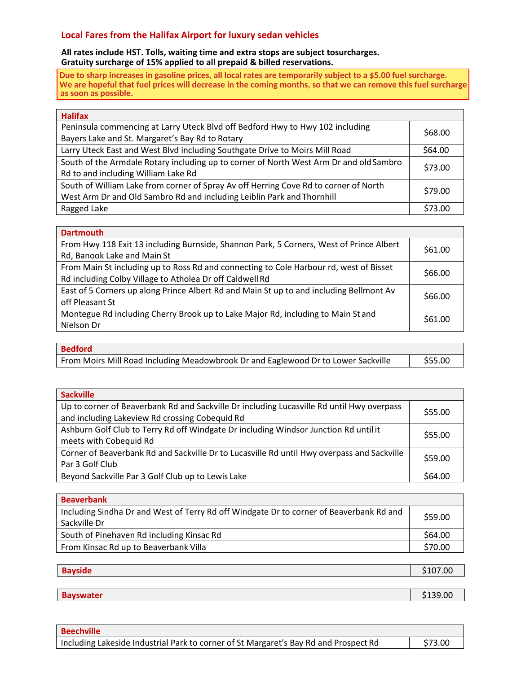## **Local Fares from the Halifax Airport for luxury sedan vehicles**

**All rates include HST. Tolls, waiting time and extra stops are subject tosurcharges. Gratuity surcharge of 15% applied to all prepaid & billed reservations.**

**Due to sharp increases in gasoline prices, all local rates are temporarily subject to a \$5.00 fuel surcharge. We are hopeful that fuel prices will decrease in the coming months, so that we can remove this fuel surcharge as soon as possible.**

| <b>Halifax</b>                                                                         |         |
|----------------------------------------------------------------------------------------|---------|
| Peninsula commencing at Larry Uteck Blvd off Bedford Hwy to Hwy 102 including          |         |
| Bayers Lake and St. Margaret's Bay Rd to Rotary                                        | \$68.00 |
| Larry Uteck East and West Blvd including Southgate Drive to Moirs Mill Road            | \$64.00 |
| South of the Armdale Rotary including up to corner of North West Arm Dr and old Sambro |         |
| Rd to and including William Lake Rd                                                    | \$73.00 |
| South of William Lake from corner of Spray Av off Herring Cove Rd to corner of North   | \$79.00 |
| West Arm Dr and Old Sambro Rd and including Leiblin Park and Thornhill                 |         |
| Ragged Lake                                                                            | \$73.00 |

| <b>Dartmouth</b>                                                                                   |  |
|----------------------------------------------------------------------------------------------------|--|
| From Hwy 118 Exit 13 including Burnside, Shannon Park, 5 Corners, West of Prince Albert<br>\$61.00 |  |
| Rd, Banook Lake and Main St                                                                        |  |
| From Main St including up to Ross Rd and connecting to Cole Harbour rd, west of Bisset<br>\$66.00  |  |
| Rd including Colby Village to Atholea Dr off Caldwell Rd                                           |  |
| East of 5 Corners up along Prince Albert Rd and Main St up to and including Bellmont Av<br>\$66.00 |  |
| off Pleasant St                                                                                    |  |
| Montegue Rd including Cherry Brook up to Lake Major Rd, including to Main St and<br>\$61.00        |  |
| Nielson Dr                                                                                         |  |

| <b>Bedford</b>                                                                    |         |
|-----------------------------------------------------------------------------------|---------|
| From Moirs Mill Road Including Meadowbrook Dr and Eaglewood Dr to Lower Sackville | \$55.00 |

| <b>Sackville</b>                                                                           |         |
|--------------------------------------------------------------------------------------------|---------|
| Up to corner of Beaverbank Rd and Sackville Dr including Lucasville Rd until Hwy overpass  | \$55.00 |
| and including Lakeview Rd crossing Cobequid Rd                                             |         |
| Ashburn Golf Club to Terry Rd off Windgate Dr including Windsor Junction Rd until it       | \$55.00 |
| meets with Cobequid Rd                                                                     |         |
| Corner of Beaverbank Rd and Sackville Dr to Lucasville Rd until Hwy overpass and Sackville |         |
| Par 3 Golf Club                                                                            | \$59.00 |
| Beyond Sackville Par 3 Golf Club up to Lewis Lake                                          | \$64.00 |
|                                                                                            |         |

| <b>Beaverbank</b>                                                                       |         |
|-----------------------------------------------------------------------------------------|---------|
| Including Sindha Dr and West of Terry Rd off Windgate Dr to corner of Beaverbank Rd and | \$59.00 |
| Sackville Dr                                                                            |         |
| South of Pinehaven Rd including Kinsac Rd                                               | \$64.00 |
| From Kinsac Rd up to Beaverbank Villa                                                   | \$70.00 |
|                                                                                         |         |

| <b>Bayside</b>   | \$107.00 |
|------------------|----------|
|                  |          |
| <b>Bayswater</b> | \$139.00 |

| <b>Beechville</b>                                                                    |                 |
|--------------------------------------------------------------------------------------|-----------------|
| Including Lakeside Industrial Park to corner of St Margaret's Bay Rd and Prospect Rd | $\vert$ \$73.00 |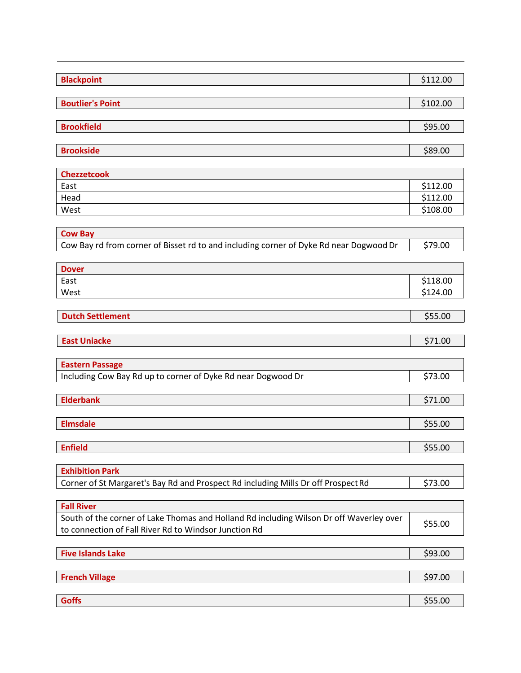| <b>Blackpoint</b>                                                                                                                                | \$112.00 |
|--------------------------------------------------------------------------------------------------------------------------------------------------|----------|
| <b>Boutlier's Point</b>                                                                                                                          | \$102.00 |
| <b>Brookfield</b>                                                                                                                                | \$95.00  |
|                                                                                                                                                  |          |
| <b>Brookside</b>                                                                                                                                 | \$89.00  |
| <b>Chezzetcook</b>                                                                                                                               |          |
| East                                                                                                                                             | \$112.00 |
| Head                                                                                                                                             | \$112.00 |
| West                                                                                                                                             | \$108.00 |
| <b>Cow Bay</b>                                                                                                                                   |          |
| Cow Bay rd from corner of Bisset rd to and including corner of Dyke Rd near Dogwood Dr                                                           | \$79.00  |
| <b>Dover</b>                                                                                                                                     |          |
| East                                                                                                                                             | \$118.00 |
| West                                                                                                                                             | \$124.00 |
| <b>Dutch Settlement</b>                                                                                                                          | \$55.00  |
|                                                                                                                                                  |          |
| <b>East Uniacke</b>                                                                                                                              | \$71.00  |
| <b>Eastern Passage</b>                                                                                                                           |          |
| Including Cow Bay Rd up to corner of Dyke Rd near Dogwood Dr                                                                                     | \$73.00  |
|                                                                                                                                                  |          |
| <b>Elderbank</b>                                                                                                                                 | \$71.00  |
| <b>Elmsdale</b>                                                                                                                                  | \$55.00  |
| <b>Enfield</b>                                                                                                                                   | \$55.00  |
|                                                                                                                                                  |          |
| <b>Exhibition Park</b>                                                                                                                           |          |
| Corner of St Margaret's Bay Rd and Prospect Rd including Mills Dr off Prospect Rd                                                                | \$73.00  |
| <b>Fall River</b>                                                                                                                                |          |
| South of the corner of Lake Thomas and Holland Rd including Wilson Dr off Waverley over<br>to connection of Fall River Rd to Windsor Junction Rd | \$55.00  |
|                                                                                                                                                  |          |
| <b>Five Islands Lake</b>                                                                                                                         | \$93.00  |
| <b>French Village</b>                                                                                                                            | \$97.00  |

**Goffs b**  $\begin{bmatrix} 555.00 \end{bmatrix}$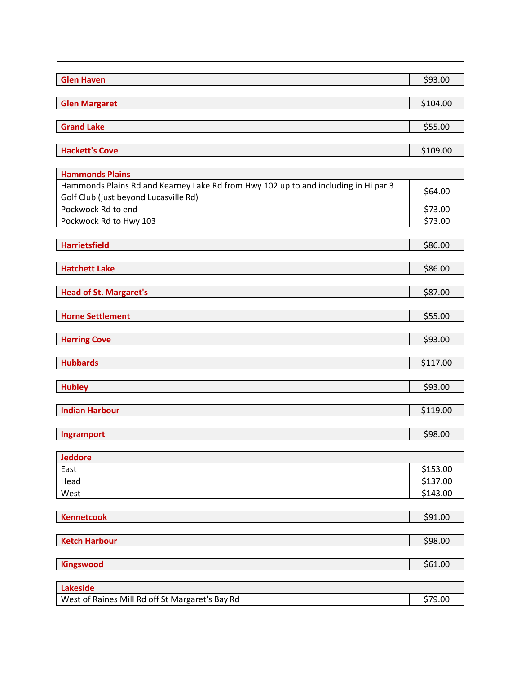| <b>Glen Haven</b>                                                                                                            | \$93.00  |
|------------------------------------------------------------------------------------------------------------------------------|----------|
| <b>Glen Margaret</b>                                                                                                         | \$104.00 |
|                                                                                                                              |          |
| <b>Grand Lake</b>                                                                                                            | \$55.00  |
| <b>Hackett's Cove</b>                                                                                                        | \$109.00 |
| <b>Hammonds Plains</b>                                                                                                       |          |
| Hammonds Plains Rd and Kearney Lake Rd from Hwy 102 up to and including in Hi par 3<br>Golf Club (just beyond Lucasville Rd) | \$64.00  |
| Pockwock Rd to end                                                                                                           | \$73.00  |
| Pockwock Rd to Hwy 103                                                                                                       | \$73.00  |
| <b>Harrietsfield</b>                                                                                                         | \$86.00  |
| <b>Hatchett Lake</b>                                                                                                         | \$86.00  |
| <b>Head of St. Margaret's</b>                                                                                                | \$87.00  |
| <b>Horne Settlement</b>                                                                                                      | \$55.00  |
| <b>Herring Cove</b>                                                                                                          | \$93.00  |
| <b>Hubbards</b>                                                                                                              | \$117.00 |
| <b>Hubley</b>                                                                                                                | \$93.00  |
| <b>Indian Harbour</b>                                                                                                        | \$119.00 |
| Ingramport                                                                                                                   | \$98.00  |
| <b>Jeddore</b>                                                                                                               |          |
| East                                                                                                                         | \$153.00 |
| Head                                                                                                                         | \$137.00 |
| West                                                                                                                         | \$143.00 |
| <b>Kennetcook</b>                                                                                                            | \$91.00  |
| <b>Ketch Harbour</b>                                                                                                         | \$98.00  |
| <b>Kingswood</b>                                                                                                             | \$61.00  |
| <b>Lakeside</b>                                                                                                              |          |
| West of Raines Mill Rd off St Margaret's Bay Rd                                                                              | \$79.00  |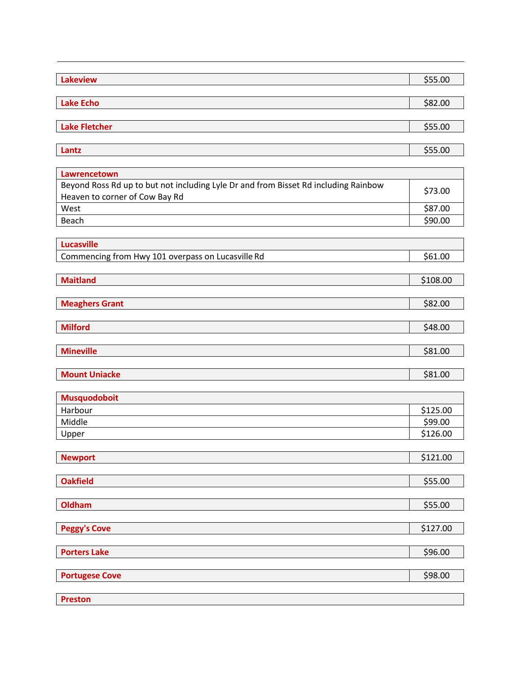| <b>Lake Echo</b><br>\$82.00<br><b>Lake Fletcher</b><br>\$55.00<br>\$55.00<br>Lantz<br>Lawrencetown<br>Beyond Ross Rd up to but not including Lyle Dr and from Bisset Rd including Rainbow<br>\$73.00<br>Heaven to corner of Cow Bay Rd<br>West<br>\$87.00<br>\$90.00<br>Beach<br><b>Lucasville</b><br>\$61.00<br>Commencing from Hwy 101 overpass on Lucasville Rd<br><b>Maitland</b><br>\$108.00<br><b>Meaghers Grant</b><br>\$82.00<br><b>Milford</b><br>\$48.00<br><b>Mineville</b><br>\$81.00<br><b>Mount Uniacke</b><br>\$81.00<br><b>Musquodoboit</b><br>\$125.00<br>Harbour<br>Middle<br>\$99.00<br>\$126.00<br>Upper<br>\$121.00<br><b>Newport</b><br>\$55.00<br><b>Oakfield</b><br>Oldham<br>\$55.00<br>\$127.00<br><b>Peggy's Cove</b><br><b>Porters Lake</b><br>\$96.00<br><b>Portugese Cove</b><br>\$98.00<br><b>Preston</b> | <b>Lakeview</b> | \$55.00 |
|------------------------------------------------------------------------------------------------------------------------------------------------------------------------------------------------------------------------------------------------------------------------------------------------------------------------------------------------------------------------------------------------------------------------------------------------------------------------------------------------------------------------------------------------------------------------------------------------------------------------------------------------------------------------------------------------------------------------------------------------------------------------------------------------------------------------------------------|-----------------|---------|
|                                                                                                                                                                                                                                                                                                                                                                                                                                                                                                                                                                                                                                                                                                                                                                                                                                          |                 |         |
|                                                                                                                                                                                                                                                                                                                                                                                                                                                                                                                                                                                                                                                                                                                                                                                                                                          |                 |         |
|                                                                                                                                                                                                                                                                                                                                                                                                                                                                                                                                                                                                                                                                                                                                                                                                                                          |                 |         |
|                                                                                                                                                                                                                                                                                                                                                                                                                                                                                                                                                                                                                                                                                                                                                                                                                                          |                 |         |
|                                                                                                                                                                                                                                                                                                                                                                                                                                                                                                                                                                                                                                                                                                                                                                                                                                          |                 |         |
|                                                                                                                                                                                                                                                                                                                                                                                                                                                                                                                                                                                                                                                                                                                                                                                                                                          |                 |         |
|                                                                                                                                                                                                                                                                                                                                                                                                                                                                                                                                                                                                                                                                                                                                                                                                                                          |                 |         |
|                                                                                                                                                                                                                                                                                                                                                                                                                                                                                                                                                                                                                                                                                                                                                                                                                                          |                 |         |
|                                                                                                                                                                                                                                                                                                                                                                                                                                                                                                                                                                                                                                                                                                                                                                                                                                          |                 |         |
|                                                                                                                                                                                                                                                                                                                                                                                                                                                                                                                                                                                                                                                                                                                                                                                                                                          |                 |         |
|                                                                                                                                                                                                                                                                                                                                                                                                                                                                                                                                                                                                                                                                                                                                                                                                                                          |                 |         |
|                                                                                                                                                                                                                                                                                                                                                                                                                                                                                                                                                                                                                                                                                                                                                                                                                                          |                 |         |
|                                                                                                                                                                                                                                                                                                                                                                                                                                                                                                                                                                                                                                                                                                                                                                                                                                          |                 |         |
|                                                                                                                                                                                                                                                                                                                                                                                                                                                                                                                                                                                                                                                                                                                                                                                                                                          |                 |         |
|                                                                                                                                                                                                                                                                                                                                                                                                                                                                                                                                                                                                                                                                                                                                                                                                                                          |                 |         |
|                                                                                                                                                                                                                                                                                                                                                                                                                                                                                                                                                                                                                                                                                                                                                                                                                                          |                 |         |
|                                                                                                                                                                                                                                                                                                                                                                                                                                                                                                                                                                                                                                                                                                                                                                                                                                          |                 |         |
|                                                                                                                                                                                                                                                                                                                                                                                                                                                                                                                                                                                                                                                                                                                                                                                                                                          |                 |         |
|                                                                                                                                                                                                                                                                                                                                                                                                                                                                                                                                                                                                                                                                                                                                                                                                                                          |                 |         |
|                                                                                                                                                                                                                                                                                                                                                                                                                                                                                                                                                                                                                                                                                                                                                                                                                                          |                 |         |
|                                                                                                                                                                                                                                                                                                                                                                                                                                                                                                                                                                                                                                                                                                                                                                                                                                          |                 |         |
|                                                                                                                                                                                                                                                                                                                                                                                                                                                                                                                                                                                                                                                                                                                                                                                                                                          |                 |         |
|                                                                                                                                                                                                                                                                                                                                                                                                                                                                                                                                                                                                                                                                                                                                                                                                                                          |                 |         |
|                                                                                                                                                                                                                                                                                                                                                                                                                                                                                                                                                                                                                                                                                                                                                                                                                                          |                 |         |
|                                                                                                                                                                                                                                                                                                                                                                                                                                                                                                                                                                                                                                                                                                                                                                                                                                          |                 |         |
|                                                                                                                                                                                                                                                                                                                                                                                                                                                                                                                                                                                                                                                                                                                                                                                                                                          |                 |         |
|                                                                                                                                                                                                                                                                                                                                                                                                                                                                                                                                                                                                                                                                                                                                                                                                                                          |                 |         |
|                                                                                                                                                                                                                                                                                                                                                                                                                                                                                                                                                                                                                                                                                                                                                                                                                                          |                 |         |
|                                                                                                                                                                                                                                                                                                                                                                                                                                                                                                                                                                                                                                                                                                                                                                                                                                          |                 |         |
|                                                                                                                                                                                                                                                                                                                                                                                                                                                                                                                                                                                                                                                                                                                                                                                                                                          |                 |         |
|                                                                                                                                                                                                                                                                                                                                                                                                                                                                                                                                                                                                                                                                                                                                                                                                                                          |                 |         |
|                                                                                                                                                                                                                                                                                                                                                                                                                                                                                                                                                                                                                                                                                                                                                                                                                                          |                 |         |
|                                                                                                                                                                                                                                                                                                                                                                                                                                                                                                                                                                                                                                                                                                                                                                                                                                          |                 |         |
|                                                                                                                                                                                                                                                                                                                                                                                                                                                                                                                                                                                                                                                                                                                                                                                                                                          |                 |         |
|                                                                                                                                                                                                                                                                                                                                                                                                                                                                                                                                                                                                                                                                                                                                                                                                                                          |                 |         |
|                                                                                                                                                                                                                                                                                                                                                                                                                                                                                                                                                                                                                                                                                                                                                                                                                                          |                 |         |
|                                                                                                                                                                                                                                                                                                                                                                                                                                                                                                                                                                                                                                                                                                                                                                                                                                          |                 |         |
|                                                                                                                                                                                                                                                                                                                                                                                                                                                                                                                                                                                                                                                                                                                                                                                                                                          |                 |         |
|                                                                                                                                                                                                                                                                                                                                                                                                                                                                                                                                                                                                                                                                                                                                                                                                                                          |                 |         |
|                                                                                                                                                                                                                                                                                                                                                                                                                                                                                                                                                                                                                                                                                                                                                                                                                                          |                 |         |
|                                                                                                                                                                                                                                                                                                                                                                                                                                                                                                                                                                                                                                                                                                                                                                                                                                          |                 |         |
|                                                                                                                                                                                                                                                                                                                                                                                                                                                                                                                                                                                                                                                                                                                                                                                                                                          |                 |         |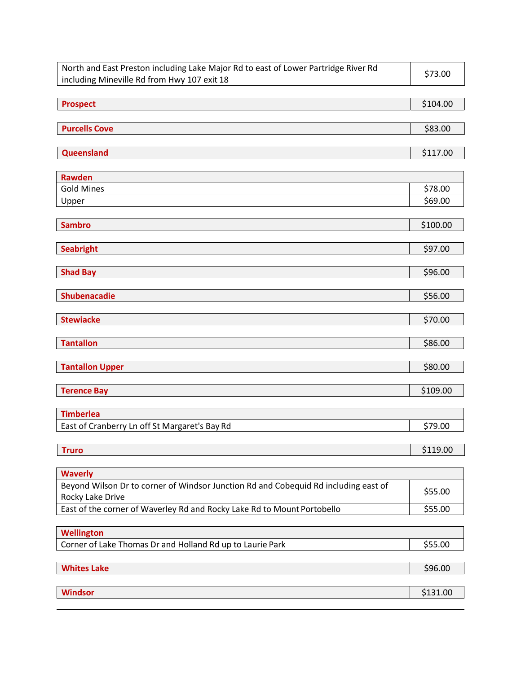| North and East Preston including Lake Major Rd to east of Lower Partridge River Rd<br>including Mineville Rd from Hwy 107 exit 18 | \$73.00  |
|-----------------------------------------------------------------------------------------------------------------------------------|----------|
| <b>Prospect</b>                                                                                                                   | \$104.00 |
| <b>Purcells Cove</b>                                                                                                              | \$83.00  |
| Queensland                                                                                                                        | \$117.00 |
| <b>Rawden</b>                                                                                                                     |          |
| <b>Gold Mines</b>                                                                                                                 | \$78.00  |
| Upper                                                                                                                             | \$69.00  |
| <b>Sambro</b>                                                                                                                     | \$100.00 |
| <b>Seabright</b>                                                                                                                  | \$97.00  |
| <b>Shad Bay</b>                                                                                                                   | \$96.00  |
| <b>Shubenacadie</b>                                                                                                               | \$56.00  |
| <b>Stewiacke</b>                                                                                                                  | \$70.00  |
| <b>Tantallon</b>                                                                                                                  | \$86.00  |
| <b>Tantallon Upper</b>                                                                                                            | \$80.00  |
| <b>Terence Bay</b>                                                                                                                | \$109.00 |
| <b>Timberlea</b>                                                                                                                  |          |
| East of Cranberry Ln off St Margaret's Bay Rd                                                                                     | \$79.00  |
| <b>Truro</b>                                                                                                                      | \$119.00 |
| <b>Waverly</b>                                                                                                                    |          |
| Beyond Wilson Dr to corner of Windsor Junction Rd and Cobequid Rd including east of<br>Rocky Lake Drive                           | \$55.00  |
| East of the corner of Waverley Rd and Rocky Lake Rd to Mount Portobello                                                           | \$55.00  |
| Wellington                                                                                                                        |          |
| Corner of Lake Thomas Dr and Holland Rd up to Laurie Park                                                                         | \$55.00  |
| <b>Whites Lake</b>                                                                                                                | \$96.00  |
| <b>Windsor</b>                                                                                                                    | \$131.00 |